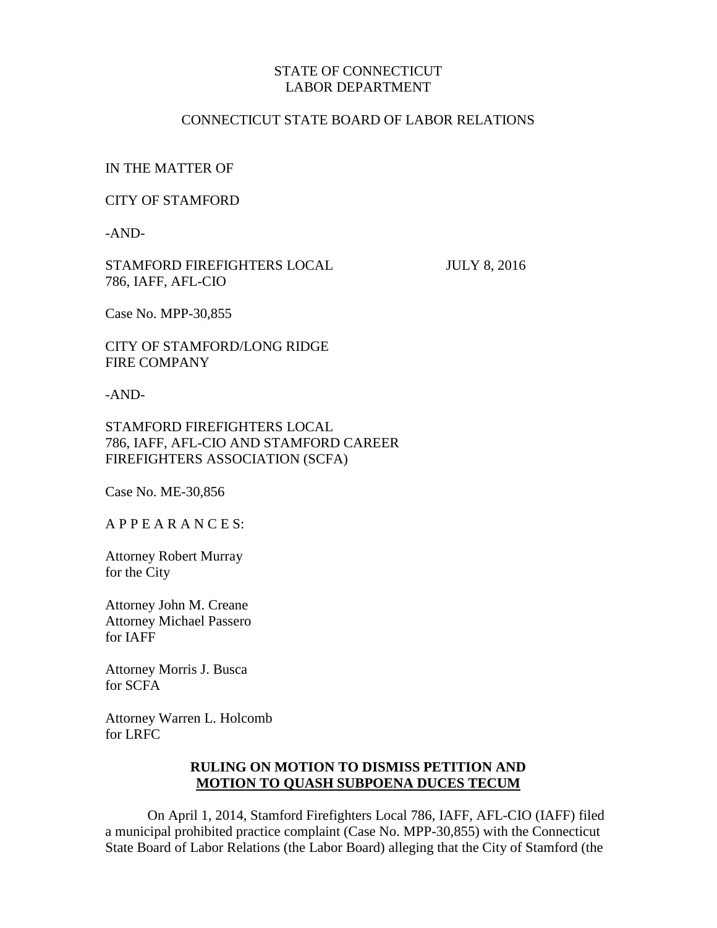# STATE OF CONNECTICUT LABOR DEPARTMENT

### CONNECTICUT STATE BOARD OF LABOR RELATIONS

#### IN THE MATTER OF

#### CITY OF STAMFORD

-AND-

STAMFORD FIREFIGHTERS LOCAL JULY 8, 2016 786, IAFF, AFL-CIO

Case No. MPP-30,855

CITY OF STAMFORD/LONG RIDGE FIRE COMPANY

-AND-

# STAMFORD FIREFIGHTERS LOCAL 786, IAFF, AFL-CIO AND STAMFORD CAREER FIREFIGHTERS ASSOCIATION (SCFA)

Case No. ME-30,856

A P P E A R A N C E S:

Attorney Robert Murray for the City

Attorney John M. Creane Attorney Michael Passero for IAFF

Attorney Morris J. Busca for SCFA

Attorney Warren L. Holcomb for LRFC

# **RULING ON MOTION TO DISMISS PETITION AND MOTION TO QUASH SUBPOENA DUCES TECUM**

On April 1, 2014, Stamford Firefighters Local 786, IAFF, AFL-CIO (IAFF) filed a municipal prohibited practice complaint (Case No. MPP-30,855) with the Connecticut State Board of Labor Relations (the Labor Board) alleging that the City of Stamford (the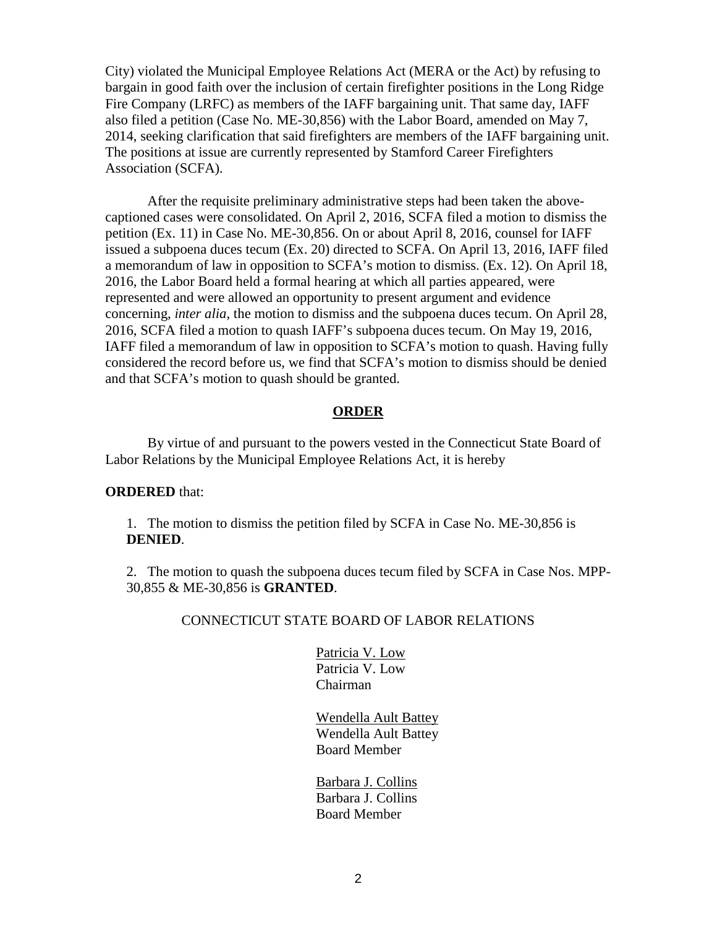City) violated the Municipal Employee Relations Act (MERA or the Act) by refusing to bargain in good faith over the inclusion of certain firefighter positions in the Long Ridge Fire Company (LRFC) as members of the IAFF bargaining unit. That same day, IAFF also filed a petition (Case No. ME-30,856) with the Labor Board, amended on May 7, 2014, seeking clarification that said firefighters are members of the IAFF bargaining unit. The positions at issue are currently represented by Stamford Career Firefighters Association (SCFA).

After the requisite preliminary administrative steps had been taken the abovecaptioned cases were consolidated. On April 2, 2016, SCFA filed a motion to dismiss the petition (Ex. 11) in Case No. ME-30,856. On or about April 8, 2016, counsel for IAFF issued a subpoena duces tecum (Ex. 20) directed to SCFA. On April 13, 2016, IAFF filed a memorandum of law in opposition to SCFA's motion to dismiss. (Ex. 12). On April 18, 2016, the Labor Board held a formal hearing at which all parties appeared, were represented and were allowed an opportunity to present argument and evidence concerning, *inter alia*, the motion to dismiss and the subpoena duces tecum. On April 28, 2016, SCFA filed a motion to quash IAFF's subpoena duces tecum. On May 19, 2016, IAFF filed a memorandum of law in opposition to SCFA's motion to quash. Having fully considered the record before us, we find that SCFA's motion to dismiss should be denied and that SCFA's motion to quash should be granted.

#### **ORDER**

By virtue of and pursuant to the powers vested in the Connecticut State Board of Labor Relations by the Municipal Employee Relations Act, it is hereby

#### **ORDERED** that:

1. The motion to dismiss the petition filed by SCFA in Case No. ME-30,856 is **DENIED**.

2. The motion to quash the subpoena duces tecum filed by SCFA in Case Nos. MPP-30,855 & ME-30,856 is **GRANTED**.

#### CONNECTICUT STATE BOARD OF LABOR RELATIONS

Patricia V. Low Patricia V. Low Chairman

Wendella Ault Battey Wendella Ault Battey Board Member

Barbara J. Collins Barbara J. Collins Board Member